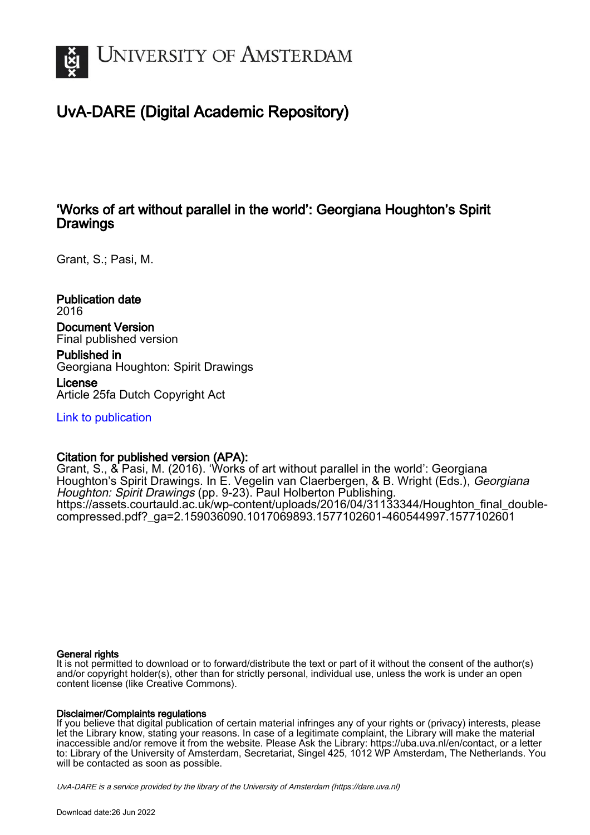

# UvA-DARE (Digital Academic Repository)

### 'Works of art without parallel in the world': Georgiana Houghton's Spirit **Drawings**

Grant, S.; Pasi, M.

Publication date 2016 Document Version Final published version

Published in Georgiana Houghton: Spirit Drawings

License Article 25fa Dutch Copyright Act

[Link to publication](https://dare.uva.nl/personal/pure/en/publications/works-of-art-without-parallel-in-the-world-georgiana-houghtons-spirit-drawings(704af5cc-bf7c-4d3c-9309-38a6c1d0439e).html)

### Citation for published version (APA):

Grant, S., & Pasi, M. (2016). 'Works of art without parallel in the world': Georgiana Houghton's Spirit Drawings. In E. Vegelin van Claerbergen, & B. Wright (Eds.), Georgiana Houghton: Spirit Drawings (pp. 9-23). Paul Holberton Publishing. [https://assets.courtauld.ac.uk/wp-content/uploads/2016/04/31133344/Houghton\\_final\\_double](https://assets.courtauld.ac.uk/wp-content/uploads/2016/04/31133344/Houghton_final_double-compressed.pdf?_ga=2.159036090.1017069893.1577102601-460544997.1577102601)[compressed.pdf?\\_ga=2.159036090.1017069893.1577102601-460544997.1577102601](https://assets.courtauld.ac.uk/wp-content/uploads/2016/04/31133344/Houghton_final_double-compressed.pdf?_ga=2.159036090.1017069893.1577102601-460544997.1577102601)

### General rights

It is not permitted to download or to forward/distribute the text or part of it without the consent of the author(s) and/or copyright holder(s), other than for strictly personal, individual use, unless the work is under an open content license (like Creative Commons).

### Disclaimer/Complaints regulations

If you believe that digital publication of certain material infringes any of your rights or (privacy) interests, please let the Library know, stating your reasons. In case of a legitimate complaint, the Library will make the material inaccessible and/or remove it from the website. Please Ask the Library: https://uba.uva.nl/en/contact, or a letter to: Library of the University of Amsterdam, Secretariat, Singel 425, 1012 WP Amsterdam, The Netherlands. You will be contacted as soon as possible.

UvA-DARE is a service provided by the library of the University of Amsterdam (http*s*://dare.uva.nl)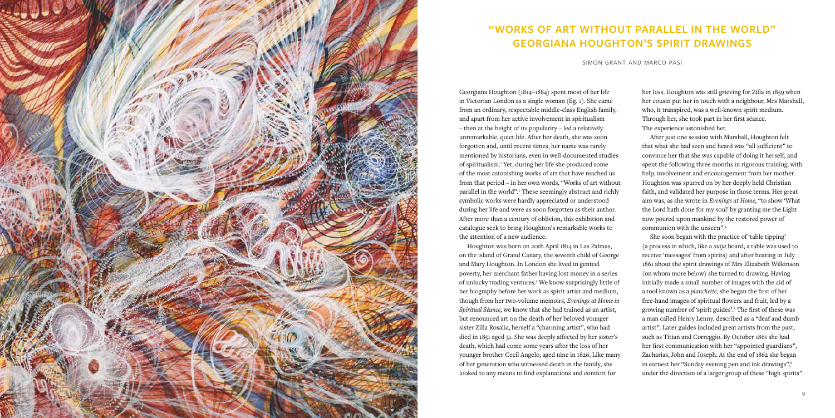Georgiana Houghton (1814–1884) spent most of her life in Victorian London as a single woman (fig. 1). She came from an ordinary, respectable middle-class English family, and apart from her active involvement in spiritualism – then at the height of its popularity – led a relatively unremarkable, quiet life. After her death, she was soon forgotten and, until recent times, her name was rarely mentioned by historians, even in well-documented studies of spiritualism.1 Yet, during her life she produced some of the most astonishing works of art that have reached us from that period – in her own words, "Works of art without parallel in the world".<sup>2</sup> These seemingly abstract and richly symbolic works were hardly appreciated or understood during her life and were as soon forgotten as their author. After more than a century of oblivion, this exhibition and catalogue seek to bring Houghton's remarkable works to the attention of a new audience.

Houghton was born on 20th April 1814 in Las Palmas, on the island of Grand Canary, the seventh child of George and Mary Houghton. In London she lived in genteel poverty, her merchant father having lost money in a series of unlucky trading ventures.3 We know surprisingly little of her biography before her work as spirit artist and medium, though from her two-volume memoirs, *Evenings at Home in Spiritual Séance,* we know that she had trained as an artist, but renounced art on the death of her beloved younger sister Zilla Rosalia, herself a "charming artist", who had died in 1851 aged 31. She was deeply affected by her sister's death, which had come some years after the loss of her younger brother Cecil Angelo, aged nine in 1826. Like many of her generation who witnessed death in the family, she looked to any means to find explanations and comfort for

her loss. Houghton was still grieving for Zilla in 1859 when her cousin put her in touch with a neighbour, Mrs Marshall, who, it transpired, was a well-known spirit medium. Through her, she took part in her first séance. The experience astonished her.

After just one session with Marshall, Houghton felt that what she had seen and heard was "all sufficient" to convince her that she was capable of doing it herself, and spent the following three months in rigorous training, with help, involvement and encouragement from her mother. Houghton was spurred on by her deeply held Christian faith, and validated her purpose in those terms. Her great aim was, as she wrote in *Evenings at Home*, "to show 'What the Lord hath done for my soul' by granting me the Light now poured upon mankind by the restored power of communion with the unseen".4

She soon began with the practice of 'table tipping' (a process in which, like a *ouija* board, a table was used to receive 'messages' from spirits) and after hearing in July 1861 about the spirit drawings of Mrs Elizabeth Wilkinson (on whom more below) she turned to drawing. Having initially made a small number of images with the aid of a tool known as a *planchette*, she began the first of her free-hand images of spiritual flowers and fruit, led by a growing number of 'spirit guides'.5 The first of these was a man called Henry Lenny, described as a "deaf and dumb artist". Later guides included great artists from the past, such as Titian and Correggio. By October 1861 she had her first communication with her "appointed guardians", Zacharias, John and Joseph. At the end of 1862 she began in earnest her "Sunday evening pen and ink drawings",<sup>6</sup> under the direction of a larger group of these "high spirits".



## **"Works of art without parallel in the world" Georgiana Houghton's Spirit Drawings**

simon grant and marco pasi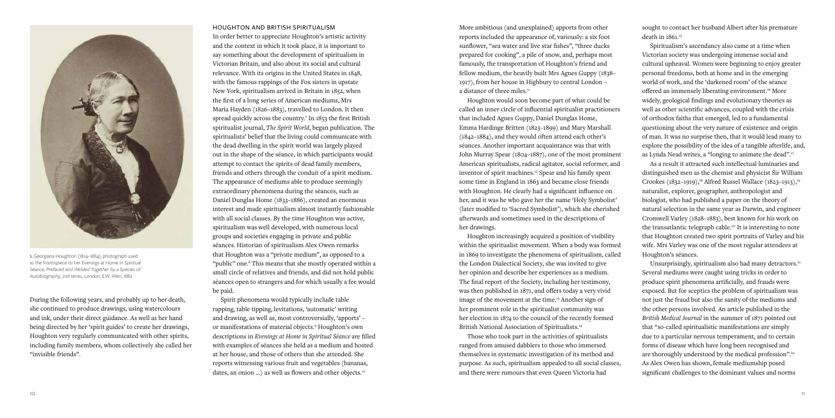sought to contact her husband Albert after his premature death in 1861.<sup>15</sup>

Spiritualism's ascendancy also came at a time when Victorian society was undergoing immense social and cultural upheaval. Women were beginning to enjoy greater personal freedoms, both at home and in the emerging world of work, and the 'darkened room' of the séance offered an immensely liberating environment.16 More widely, geological findings and evolutionary theories as well as other scientific advances, coupled with the crisis of orthodox faiths that emerged, led to a fundamental questioning about the very nature of existence and origin of man. It was no surprise then, that it would lead many to explore the possibility of the idea of a tangible afterlife, and, as Lynda Nead writes, a "longing to animate the dead".17

Unsurprisingly, spiritualism also had many detractors.<sup>21</sup> Several mediums were caught using tricks in order to produce spirit phenomena artificially, and frauds were exposed. But for sceptics the problem of spiritualism was not just the fraud but also the sanity of the mediums and the other persons involved. An article published in the *British Medical Journal* in the summer of 1871 pointed out that "so-called spiritualistic manifestations are simply due to a particular nervous temperament, and to certain forms of disease which have long been recognised and are thoroughly understood by the medical profession".22 As Alex Owen has shown, female mediumship posed significant challenges to the dominant values and norms

More ambitious (and unexplained) apports from other reports included the appearance of, variously: a six foot sunflower, "sea water and live star fishes", "three ducks prepared for cooking", a pile of snow, and, perhaps most famously, the transportation of Houghton's friend and fellow medium, the heavily built Mrs Agnes Guppy (1838– 1917), from her house in Highbury to central London – a distance of three miles.<sup>11</sup>

As a result it attracted such intellectual luminaries and distinguished men as the chemist and physicist Sir William Crookes (1832–1919),<sup>18</sup> Alfred Russel Wallace (1823–1913),<sup>19</sup> naturalist, explorer, geographer, anthropologist and biologist, who had published a paper on the theory of natural selection in the same year as Darwin, and engineer Cromwell Varley (1828–1883), best known for his work on the transatlantic telegraph cable.20 It is interesting to note that Houghton created two spirit portraits of Varley and his wife. Mrs Varley was one of the most regular attendees at Houghton's séances.

Houghton increasingly acquired a position of visibility within the spiritualist movement. When a body was formed in 1869 to investigate the phenomena of spiritualism, called the London Dialectical Society, she was invited to give her opinion and describe her experiences as a medium. The final report of the Society, including her testimony, was then published in 1871, and offers today a very vivid image of the movement at the time.<sup>13</sup> Another sign of her prominent role in the spiritualist community was her election in 1874 to the council of the recently formed British National Association of Spiritualists.<sup>14</sup>

Houghton would soon become part of what could be called an inner circle of influential spiritualist practitioners that included Agnes Guppy, Daniel Dunglas Home, Emma Hardinge Britten (1823–1899) and Mary Marshall (1842–1884), and they would often attend each other's séances. Another important acquaintance was that with John Murray Spear (1804–1887), one of the most prominent American spiritualists, radical agitator, social reformer, and inventor of spirit machines.<sup>12</sup> Spear and his family spent some time in England in 1863 and became close friends with Houghton. He clearly had a significant influence on her, and it was he who gave her the name 'Holy Symbolist' (later modified to 'Sacred Symbolist'), which she cherished afterwards and sometimes used in the descriptions of her drawings.

Those who took part in the activities of spiritualists ranged from amused dabblers to those who immersed themselves in systematic investigation of its method and purpose. As such, spiritualism appealed to all social classes, and there were rumours that even Queen Victoria had

HOUGHTON AND BRITISH SPIRITUALISM In order better to appreciate Houghton's artistic activity and the context in which it took place, it is important to say something about the development of spiritualism in Victorian Britain, and also about its social and cultural relevance. With its origins in the United States in 1848, with the famous rappings of the Fox sisters in upstate New York, spiritualism arrived in Britain in 1852, when the first of a long series of American mediums, Mrs Maria Hayden (1826–1883), travelled to London. It then spread quickly across the country.7 In 1853 the first British spiritualist journal, *The Spirit World*, began publication. The spiritualists' belief that the living could communicate with the dead dwelling in the spirit world was largely played out in the shape of the séance, in which participants would attempt to contact the spirits of dead family members, friends and others through the conduit of a spirit medium. The appearance of mediums able to produce seemingly extraordinary phenomena during the séances, such as Daniel Dunglas Home (1833–1886), created an enormous interest and made spiritualism almost instantly fashionable with all social classes. By the time Houghton was active, spiritualism was well developed, with numerous local groups and societies engaging in private and public séances. Historian of spiritualism Alex Owen remarks that Houghton was a "private medium", as opposed to a "public" one.<sup>8</sup> This means that she mostly operated within a small circle of relatives and friends, and did not hold public séances open to strangers and for which usually a fee would be paid.

Spirit phenomena would typically include table rapping, table tipping, levitations, 'automatic' writing and drawing, as well as, most controversially, 'apports' – or manifestations of material objects.<sup>9</sup> Houghton's own descriptions in *Evenings at Home in Spiritual Séance* are filled with examples of séances she held as a medium and hosted at her house, and those of others that she attended. She reports witnessing various fruit and vegetables (bananas, dates, an onion …) as well as flowers and other objects.10

During the following years, and probably up to her death, she continued to produce drawings, using watercolours and ink, under their direct guidance. As well as her hand being directed by her 'spirit guides' to create her drawings, Houghton very regularly communicated with other spirits, including family members, whom collectively she called her "invisible friends".



1. Georgiana Houghton (1814–1884), photograph used as the frontispiece to her *Evenings at Home in Spiritual Séance, Prefaced and Welded Together by a Species of Autobiography*, 2nd series, London, E.W. Allen, 1882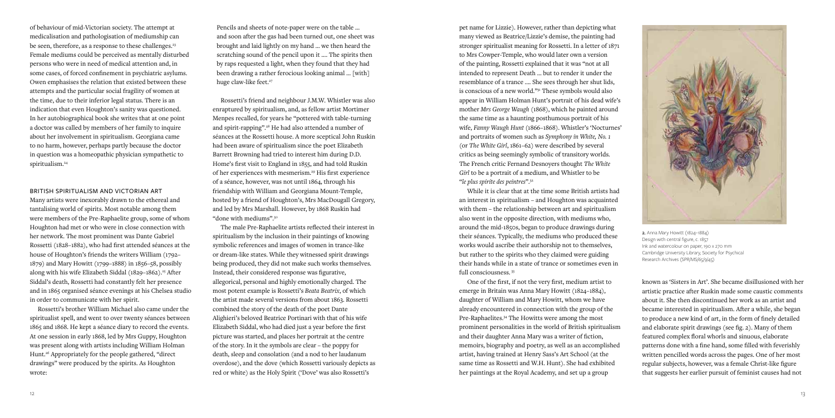known as 'Sisters in Art'. She became disillusioned with her artistic practice after Ruskin made some caustic comments about it. She then discontinued her work as an artist and became interested in spiritualism. After a while, she began to produce a new kind of art, in the form of finely detailed and elaborate spirit drawings (see fig. 2). Many of them featured complex floral whorls and sinuous, elaborate patterns done with a fine hand, some filled with feverishly written pencilled words across the pages. One of her most regular subjects, however, was a female Christ-like figure that suggests her earlier pursuit of feminist causes had not

pet name for Lizzie). However, rather than depicting what many viewed as Beatrice/Lizzie's demise, the painting had stronger spiritualist meaning for Rossetti. In a letter of 1871 to Mrs Cowper-Temple, who would later own a version of the painting, Rossetti explained that it was "not at all intended to represent Death ... but to render it under the resemblance of a trance .... She sees through her shut lids, is conscious of a new world."31 These symbols would also appear in William Holman Hunt's portrait of his dead wife's mother *Mrs George Waugh* (1868), which he painted around the same time as a haunting posthumous portrait of his wife, *Fanny Waugh Hunt* (1866–1868). Whistler's 'Nocturnes' and portraits of women such as *Symphony in White, No. 1* (or *The White Girl*, 1861–62) were described by several critics as being seemingly symbolic of transitory worlds. The French critic Fernand Desnoyers thought *The White Girl* to be a portrait of a medium, and Whistler to be "*le plus spirite des peintres*".32

Pencils and sheets of note-paper were on the table … and soon after the gas had been turned out, one sheet was brought and laid lightly on my hand … we then heard the scratching sound of the pencil upon it …. The spirits then by raps requested a light, when they found that they had been drawing a rather ferocious looking animal … [with] huge claw-like feet.<sup>27</sup>

> While it is clear that at the time some British artists had an interest in spiritualism – and Houghton was acquainted with them – the relationship between art and spiritualism also went in the opposite direction, with mediums who, around the mid-1850s, began to produce drawings during their séances. Typically, the mediums who produced these works would ascribe their authorship not to themselves, but rather to the spirits who they claimed were guiding their hands while in a state of trance or sometimes even in full consciousness. 33

of behaviour of mid-Victorian society. The attempt at medicalisation and pathologisation of mediumship can be seen, therefore, as a response to these challenges.<sup>23</sup> Female mediums could be perceived as mentally disturbed persons who were in need of medical attention and, in some cases, of forced confinement in psychiatric asylums. Owen emphasises the relation that existed between these attempts and the particular social fragility of women at the time, due to their inferior legal status. There is an indication that even Houghton's sanity was questioned. In her autobiographical book she writes that at one point a doctor was called by members of her family to inquire about her involvement in spiritualism. Georgiana came to no harm, however, perhaps partly because the doctor in question was a homeopathic physician sympathetic to spiritualism.<sup>24</sup>

> One of the first, if not the very first, medium artist to emerge in Britain was Anna Mary Howitt (1824–1884), daughter of William and Mary Howitt, whom we have already encountered in connection with the group of the Pre-Raphaelites.34 The Howitts were among the most prominent personalities in the world of British spiritualism and their daughter Anna Mary was a writer of fiction, memoirs, biography and poetry, as well as an accomplished artist, having trained at Henry Sass's Art School (at the same time as Rossetti and W.H. Hunt). She had exhibited her paintings at the Royal Academy, and set up a group

Rossetti's friend and neighbour J.M.W. Whistler was also enraptured by spiritualism, and, as fellow artist Mortimer Menpes recalled, for years he "pottered with table-turning and spirit-rapping".28 He had also attended a number of séances at the Rossetti house. A more sceptical John Ruskin had been aware of spiritualism since the poet Elizabeth Barrett Browning had tried to interest him during D.D. Home's first visit to England in 1855, and had told Ruskin of her experiences with mesmerism.29 His first experience of a séance, however, was not until 1864, through his friendship with William and Georgiana Mount-Temple, hosted by a friend of Houghton's, Mrs MacDougall Gregory, and led by Mrs Marshall. However, by 1868 Ruskin had "done with mediums".30

The male Pre-Raphaelite artists reflected their interest in spiritualism by the inclusion in their paintings of knowing symbolic references and images of women in trance-like or dream-like states. While they witnessed spirit drawings being produced, they did not make such works themselves. Instead, their considered response was figurative, allegorical, personal and highly emotionally charged. The most potent example is Rossetti's *Beata Beatrix*, of which the artist made several versions from about 1863. Rossetti combined the story of the death of the poet Dante Alighieri's beloved Beatrice Portinari with that of his wife Elizabeth Siddal, who had died just a year before the first picture was started, and places her portrait at the centre of the story. In it the symbols are clear – the poppy for death, sleep and consolation (and a nod to her laudanum overdose), and the dove (which Rossetti variously depicts as red or white) as the Holy Spirit ('Dove' was also Rossetti's

### BRITISH SPIRITUALISM AND VICTORIAN ART

Many artists were inexorably drawn to the ethereal and tantalising world of spirits. Most notable among them were members of the Pre-Raphaelite group, some of whom Houghton had met or who were in close connection with her network. The most prominent was Dante Gabriel Rossetti (1828–1882), who had first attended séances at the house of Houghton's friends the writers William (1792– 1879) and Mary Howitt (1799–1888) in 1856–58, possibly along with his wife Elizabeth Siddal (1829–1862).<sup>25</sup> After Siddal's death, Rossetti had constantly felt her presence and in 1865 organised séance evenings at his Chelsea studio in order to communicate with her spirit.

Rossetti's brother William Michael also came under the spiritualist spell, and went to over twenty séances between 1865 and 1868. He kept a séance diary to record the events. At one session in early 1868, led by Mrs Guppy, Houghton was present along with artists including William Holman Hunt.26 Appropriately for the people gathered, "direct drawings" were produced by the spirits. As Houghton wrote:



2. Anna Mary Howitt (1824–1884) Design with central figure, c. 1857 Ink and watercolour on paper, 190 x 270 mm Cambridge University Library, Society for Psychical Research Archives (SPR/MS/65/9/45)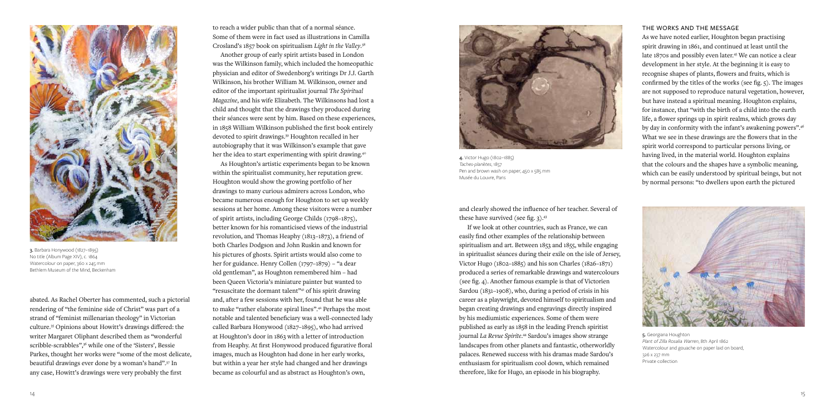and clearly showed the influence of her teacher. Several of these have survived (see fig.  $3$ ).<sup>43</sup>

If we look at other countries, such as France, we can easily find other examples of the relationship between spiritualism and art. Between 1853 and 1855, while engaging in spiritualist séances during their exile on the isle of Jersey, Victor Hugo (1802–1885) and his son Charles (1826–1871) produced a series of remarkable drawings and watercolours (see fig. 4). Another famous example is that of Victorien Sardou (1831–1908), who, during a period of crisis in his career as a playwright, devoted himself to spiritualism and began creating drawings and engravings directly inspired by his mediumistic experiences. Some of them were published as early as 1858 in the leading French spiritist journal *La Revue Spirite*. 44 Sardou's images show strange landscapes from other planets and fantastic, otherworldly palaces. Renewed success with his dramas made Sardou's enthusiasm for spiritualism cool down, which remained therefore, like for Hugo, an episode in his biography.

Another group of early spirit artists based in London was the Wilkinson family, which included the homeopathic physician and editor of Swedenborg's writings Dr J.J. Garth Wilkinson, his brother William M. Wilkinson, owner and editor of the important spiritualist journal *The Spiritual Magazine*, and his wife Elizabeth. The Wilkinsons had lost a child and thought that the drawings they produced during their séances were sent by him. Based on these experiences, in 1858 William Wilkinson published the first book entirely devoted to spirit drawings.39 Houghton recalled in her autobiography that it was Wilkinson's example that gave her the idea to start experimenting with spirit drawing.<sup>40</sup>

to reach a wider public than that of a normal séance. Some of them were in fact used as illustrations in Camilla Crosland's 1857 book on spiritualism *Light in the Valley*. 38

As Houghton's artistic experiments began to be known within the spiritualist community, her reputation grew. Houghton would show the growing portfolio of her drawings to many curious admirers across London, who became numerous enough for Houghton to set up weekly sessions at her home. Among these visitors were a number of spirit artists, including George Childs (1798–1875), better known for his romanticised views of the industrial revolution, and Thomas Heaphy (1813–1873), a friend of both Charles Dodgson and John Ruskin and known for his pictures of ghosts. Spirit artists would also come to her for guidance. Henry Collen (1797–1879) – "a dear old gentleman", as Houghton remembered him – had been Queen Victoria's miniature painter but wanted to "resuscitate the dormant talent"41 of his spirit drawing and, after a few sessions with her, found that he was able to make "rather elaborate spiral lines".<sup>42</sup> Perhaps the most notable and talented beneficiary was a well-connected lady called Barbara Honywood (1827–1895), who had arrived at Houghton's door in 1863 with a letter of introduction from Heaphy. At first Honywood produced figurative floral images, much as Houghton had done in her early works, but within a year her style had changed and her drawings became as colourful and as abstract as Houghton's own,

abated. As Rachel Oberter has commented, such a pictorial rendering of "the feminine side of Christ" was part of a strand of "feminist millenarian theology" in Victorian culture.35 Opinions about Howitt's drawings differed: the writer Margaret Oliphant described them as "wonderful scribble-scrabbles",<sup>36</sup> while one of the 'Sisters', Bessie Parkes, thought her works were "some of the most delicate, beautiful drawings ever done by a woman's hand".37 In any case, Howitt's drawings were very probably the first



3. Barbara Honywood (1827–1895) No title (Album Page XIV), c. 1864 Watercolour on paper, 360 x 245 mm Bethlem Museum of the Mind, Beckenham



4. Victor Hugo (1802–1885) *Taches-planètes*, 1857 Pen and brown wash on paper, 450 x 585 mm Musée du Louvre, Paris

### THE WORKS AND THE MESSAGE

As we have noted earlier, Houghton began practising spirit drawing in 1861, and continued at least until the late 1870s and possibly even later.45 We can notice a clear development in her style. At the beginning it is easy to recognise shapes of plants, flowers and fruits, which is confirmed by the titles of the works (see fig.  $\varsigma$ ). The images are not supposed to reproduce natural vegetation, however, but have instead a spiritual meaning. Houghton explains, for instance, that "with the birth of a child into the earth life, a flower springs up in spirit realms, which grows day by day in conformity with the infant's awakening powers".46 What we see in these drawings are the flowers that in the spirit world correspond to particular persons living, or having lived, in the material world. Houghton explains that the colours and the shapes have a symbolic meaning, which can be easily understood by spiritual beings, but not by normal persons: "to dwellers upon earth the pictured



5. Georgiana Houghton *Plant of Zilla Rosalia Warren*, 8th April 1862 Watercolour and gouache on paper laid on board, 326 x 237 mm Private collection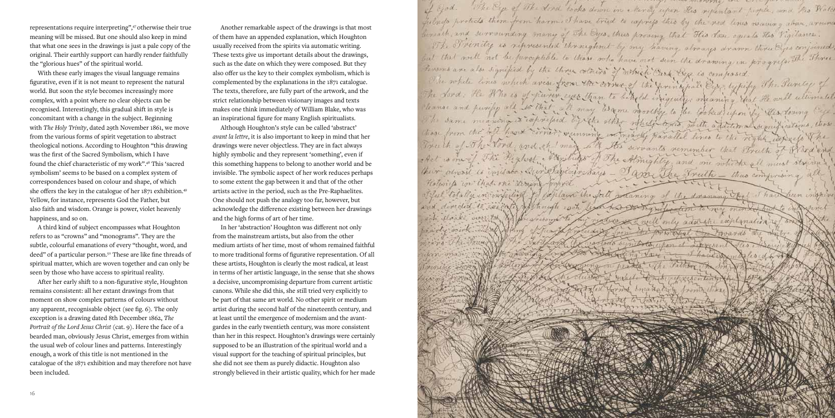

The Eye of The dord looks down in Mercy upon His repentant proper, and the Water Thein construct He principal Em Invardo whom it mapelo tonido map sesentin

Another remarkable aspect of the drawings is that most of them have an appended explanation, which Houghton usually received from the spirits via automatic writing. These texts give us important details about the drawings, such as the date on which they were composed. But they also offer us the key to their complex symbolism, which is complemented by the explanations in the 1871 catalogue. The texts, therefore, are fully part of the artwork, and the strict relationship between visionary images and texts makes one think immediately of William Blake, who was an inspirational figure for many English spiritualists.

Although Houghton's style can be called 'abstract' *avant la lettre*, it is also important to keep in mind that her drawings were never objectless. They are in fact always highly symbolic and they represent 'something', even if this something happens to belong to another world and be invisible. The symbolic aspect of her work reduces perhaps to some extent the gap between it and that of the other artists active in the period, such as the Pre-Raphaelites. One should not push the analogy too far, however, but acknowledge the difference existing between her drawings and the high forms of art of her time.

In her 'abstraction' Houghton was different not only from the mainstream artists, but also from the other medium artists of her time, most of whom remained faithful to more traditional forms of figurative representation. Of all these artists, Houghton is clearly the most radical, at least in terms of her artistic language, in the sense that she shows a decisive, uncompromising departure from current artistic canons. While she did this, she still tried very explicitly to be part of that same art world. No other spirit or medium artist during the second half of the nineteenth century, and at least until the emergence of modernism and the avantgardes in the early twentieth century, was more consistent than her in this respect. Houghton's drawings were certainly supposed to be an illustration of the spiritual world and a visual support for the teaching of spiritual principles, but she did not see them as purely didactic. Houghton also strongly believed in their artistic quality, which for her made

representations require interpreting",47 otherwise their true meaning will be missed. But one should also keep in mind that what one sees in the drawings is just a pale copy of the original. Their earthly support can hardly render faithfully the "glorious hues" of the spiritual world.

With these early images the visual language remains figurative, even if it is not meant to represent the natural world. But soon the style becomes increasingly more complex, with a point where no clear objects can be recognised. Interestingly, this gradual shift in style is concomitant with a change in the subject. Beginning with *The Holy Trinity*, dated 29th November 1861, we move from the various forms of spirit vegetation to abstract theological notions. According to Houghton "this drawing was the first of the Sacred Symbolism, which I have found the chief characteristic of my work".48 This 'sacred symbolism' seems to be based on a complex system of correspondences based on colour and shape, of which she offers the key in the catalogue of her 1871 exhibition.49 Yellow, for instance, represents God the Father, but also faith and wisdom. Orange is power, violet heavenly happiness, and so on.

A third kind of subject encompasses what Houghton refers to as "crowns" and "monograms". They are the subtle, colourful emanations of every "thought, word, and deed" of a particular person.<sup>50</sup> These are like fine threads of spiritual matter, which are woven together and can only be seen by those who have access to spiritual reality.

After her early shift to a non-figurative style, Houghton remains consistent: all her extant drawings from that moment on show complex patterns of colours without any apparent, recognisable object (see fig. 6). The only exception is a drawing dated 8th December 1862, *The Portrait of the Lord Jesus Christ (cat. 9). Here the face of a* bearded man, obviously Jesus Christ, emerges from within the usual web of colour lines and patterns. Interestingly enough, a work of this title is not mentioned in the catalogue of the 1871 exhibition and may therefore not have been included.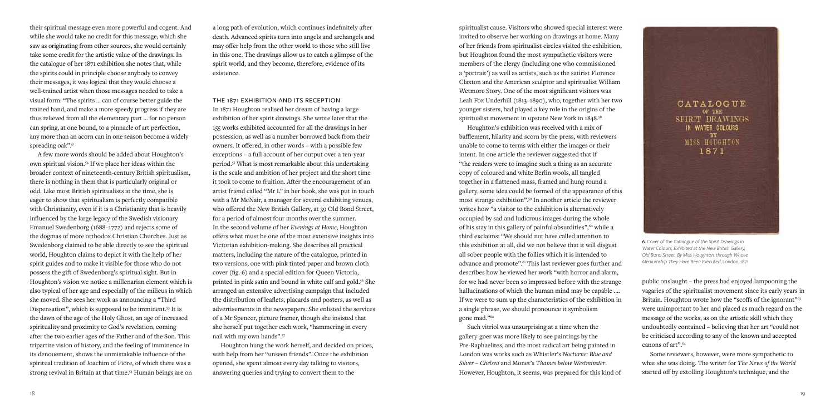public onslaught – the press had enjoyed lampooning the vagaries of the spiritualist movement since its early years in Britain. Houghton wrote how the "scoffs of the ignorant"<sup>63</sup> were unimportant to her and placed as much regard on the message of the works, as on the artistic skill which they undoubtedly contained – believing that her art "could not be criticised according to any of the known and accepted canons of art".64

spiritualist cause. Visitors who showed special interest were invited to observe her working on drawings at home. Many of her friends from spiritualist circles visited the exhibition, but Houghton found the most sympathetic visitors were members of the clergy (including one who commissioned a 'portrait') as well as artists, such as the satirist Florence Claxton and the American sculptor and spiritualist William Wetmore Story. One of the most significant visitors was Leah Fox Underhill (1813–1890), who, together with her two younger sisters, had played a key role in the origins of the spiritualist movement in upstate New York in  $1848.^{58}$ 

> Some reviewers, however, were more sympathetic to what she was doing. The writer for *The News of the World* started off by extolling Houghton's technique, and the

Houghton's exhibition was received with a mix of bafflement, hilarity and scorn by the press, with reviewers unable to come to terms with either the images or their intent. In one article the reviewer suggested that if "the readers were to imagine such a thing as an accurate copy of coloured and white Berlin wools, all tangled together in a flattened mass, framed and hung round a gallery, some idea could be formed of the appearance of this most strange exhibition".59 In another article the reviewer writes how "a visitor to the exhibition is alternatively occupied by sad and ludicrous images during the whole of his stay in this gallery of painful absurdities", $60$  while a third exclaims: "We should not have called attention to this exhibition at all, did we not believe that it will disgust all sober people with the follies which it is intended to advance and promote".61 This last reviewer goes further and describes how he viewed her work "with horror and alarm, for we had never been so impressed before with the strange hallucinations of which the human mind may be capable .... If we were to sum up the characteristics of the exhibition in a single phrase, we should pronounce it symbolism gone mad."62

their spiritual message even more powerful and cogent. And while she would take no credit for this message, which she saw as originating from other sources, she would certainly take some credit for the artistic value of the drawings. In the catalogue of her 1871 exhibition she notes that, while the spirits could in principle choose anybody to convey their messages, it was logical that they would choose a well-trained artist when those messages needed to take a visual form: "The spirits … can of course better guide the trained hand, and make a more speedy progress if they are thus relieved from all the elementary part … for no person can spring, at one bound, to a pinnacle of art perfection, any more than an acorn can in one season become a widely spreading oak".<sup>51</sup>

> Such vitriol was unsurprising at a time when the gallery-goer was more likely to see paintings by the Pre-Raphaelites, and the most radical art being painted in London was works such as Whistler's *Nocturne: Blue and Silver – Chelsea* and Monet's *Thames below Westminster*. However, Houghton, it seems, was prepared for this kind of



6. Cover of the *Catalogue of the Spirit Drawings in Water Colours, Exhibited at the New British Gallery, Old Bond Street. By Miss Houghton, through Whose Mediumship They Have Been Executed*, London, 1871

A few more words should be added about Houghton's own spiritual vision.52 If we place her ideas within the broader context of nineteenth-century British spiritualism, there is nothing in them that is particularly original or odd. Like most British spiritualists at the time, she is eager to show that spiritualism is perfectly compatible with Christianity, even if it is a Christianity that is heavily influenced by the large legacy of the Swedish visionary Emanuel Swedenborg (1688–1772) and rejects some of the dogmas of more orthodox Christian Churches. Just as Swedenborg claimed to be able directly to see the spiritual world, Houghton claims to depict it with the help of her spirit guides and to make it visible for those who do not possess the gift of Swedenborg's spiritual sight. But in Houghton's vision we notice a millenarian element which is also typical of her age and especially of the milieus in which she moved. She sees her work as announcing a "Third Dispensation", which is supposed to be imminent.<sup>53</sup> It is the dawn of the age of the Holy Ghost, an age of increased spirituality and proximity to God's revelation, coming after the two earlier ages of the Father and of the Son. This tripartite vision of history, and the feeling of imminence in its denouement, shows the unmistakable influence of the spiritual tradition of Joachim of Fiore, of which there was a strong revival in Britain at that time.<sup>54</sup> Human beings are on

a long path of evolution, which continues indefinitely after death. Advanced spirits turn into angels and archangels and may offer help from the other world to those who still live in this one. The drawings allow us to catch a glimpse of the spirit world, and they become, therefore, evidence of its existence.

THE 1871 EXHIBITION AND ITS RECEPTION

In 1871 Houghton realised her dream of having a large exhibition of her spirit drawings. She wrote later that the 155 works exhibited accounted for all the drawings in her possession, as well as a number borrowed back from their owners. It offered, in other words – with a possible few exceptions – a full account of her output over a ten-year period.55 What is most remarkable about this undertaking is the scale and ambition of her project and the short time it took to come to fruition. After the encouragement of an artist friend called "Mr L" in her book, she was put in touch with a Mr McNair, a manager for several exhibiting venues, who offered the New British Gallery, at 39 Old Bond Street, for a period of almost four months over the summer. In the second volume of her *Evenings at Home*, Houghton offers what must be one of the most extensive insights into Victorian exhibition-making. She describes all practical matters, including the nature of the catalogue, printed in two versions, one with pink tinted paper and brown cloth cover (fig. 6) and a special edition for Queen Victoria, printed in pink satin and bound in white calf and gold.56 She arranged an extensive advertising campaign that included the distribution of leaflets, placards and posters, as well as advertisements in the newspapers. She enlisted the services of a Mr Spencer, picture framer, though she insisted that she herself put together each work, "hammering in every nail with my own hands".57

Houghton hung the work herself, and decided on prices, with help from her "unseen friends". Once the exhibition opened, she spent almost every day talking to visitors, answering queries and trying to convert them to the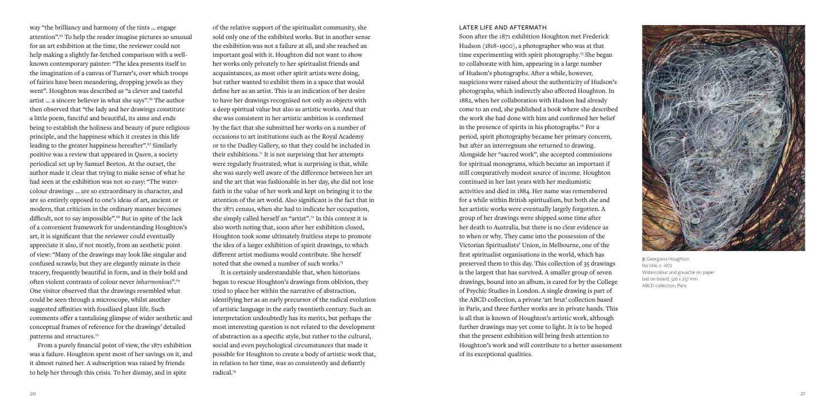

of the relative support of the spiritualist community, she sold only one of the exhibited works. But in another sense the exhibition was not a failure at all, and she reached an important goal with it. Houghton did not want to show her works only privately to her spiritualist friends and acquaintances, as most other spirit artists were doing, but rather wanted to exhibit them in a space that would define her as an artist. This is an indication of her desire to have her drawings recognised not only as objects with a deep spiritual value but also as artistic works. And that she was consistent in her artistic ambition is confirmed by the fact that she submitted her works on a number of occasions to art institutions such as the Royal Academy or to the Dudley Gallery, so that they could be included in their exhibitions.71 It is not surprising that her attempts were regularly frustrated; what is surprising is that, while she was surely well aware of the difference between her art and the art that was fashionable in her day, she did not lose faith in the value of her work and kept on bringing it to the attention of the art world. Also significant is the fact that in the 1871 census, when she had to indicate her occupation, she simply called herself an "artist".72 In this context it is also worth noting that, soon after her exhibition closed, Houghton took some ultimately fruitless steps to promote the idea of a larger exhibition of spirit drawings, to which different artist mediums would contribute. She herself noted that she owned a number of such works.73

It is certainly understandable that, when historians began to rescue Houghton's drawings from oblivion, they tried to place her within the narrative of abstraction, identifying her as an early precursor of the radical evolution of artistic language in the early twentieth century. Such an interpretation undoubtedly has its merits, but perhaps the most interesting question is not related to the development of abstraction as a specific style, but rather to the cultural, social and even psychological circumstances that made it possible for Houghton to create a body of artistic work that, in relation to her time, was so consistently and defiantly radical.74

way "the brilliancy and harmony of the tints ... engage attention".65 To help the reader imagine pictures so unusual for an art exhibition at the time, the reviewer could not help making a slightly far-fetched comparison with a wellknown contemporary painter: "The idea presents itself to the imagination of a canvas of Turner's, over which troops of fairies have been meandering, dropping jewels as they went". Houghton was described as "a clever and tasteful artist ... a sincere believer in what she says".<sup>66</sup> The author then observed that "the lady and her drawings constitute a little poem, fanciful and beautiful, its aims and ends being to establish the holiness and beauty of pure religious principle, and the happiness which it creates in this life leading to the greater happiness hereafter".<sup>67</sup> Similarly positive was a review that appeared in *Queen*, a society periodical set up by Samuel Beeton. At the outset, the author made it clear that trying to make sense of what he had seen at the exhibition was not so easy: "The watercolour drawings … are so extraordinary in character, and are so entirely opposed to one's ideas of art, ancient or modern, that criticism in the ordinary manner becomes difficult, not to say impossible".<sup>68</sup> But in spite of the lack of a convenient framework for understanding Houghton's art, it is significant that the reviewer could eventually appreciate it also, if not mostly, from an aesthetic point of view: "Many of the drawings may look like singular and confused scrawls; but they are elegantly minute in their tracery, frequently beautiful in form, and in their bold and often violent contrasts of colour never *inharmonious*".69 One visitor observed that the drawings resembled what could be seen through a microscope, whilst another suggested affinities with fossilised plant life. Such comments offer a tantalising glimpse of wider aesthetic and conceptual frames of reference for the drawings' detailed patterns and structures.70

From a purely financial point of view, the 1871 exhibition was a failure. Houghton spent most of her savings on it, and it almost ruined her. A subscription was raised by friends to help her through this crisis. To her dismay, and in spite

### LATER LIFE AND AFTERMATH

Soon after the 1871 exhibition Houghton met Frederick Hudson (1818–1900), a photographer who was at that time experimenting with spirit photography.<sup>75</sup> She began to collaborate with him, appearing in a large number of Hudson's photographs. After a while, however, suspicions were raised about the authenticity of Hudson's photographs, which indirectly also affected Houghton. In 1882, when her collaboration with Hudson had already come to an end, she published a book where she described the work she had done with him and confirmed her belief in the presence of spirits in his photographs.<sup>76</sup> For a period, spirit photography became her primary concern, but after an interregnum she returned to drawing. Alongside her "sacred work", she accepted commissions for spiritual monograms, which became an important if still comparatively modest source of income. Houghton continued in her last years with her mediumistic activities and died in 1884. Her name was remembered for a while within British spiritualism, but both she and her artistic works were eventually largely forgotten. A group of her drawings were shipped some time after her death to Australia, but there is no clear evidence as to when or why. They came into the possession of the Victorian Spiritualists' Union, in Melbourne, one of the first spiritualist organisations in the world, which has preserved them to this day. This collection of 35 drawings is the largest that has survived. A smaller group of seven drawings, bound into an album, is cared for by the College of Psychic Studies in London. A single drawing is part of the ABCD collection, a private 'art brut' collection based in Paris, and three further works are in private hands. This is all that is known of Houghton's artistic work, although further drawings may yet come to light. It is to be hoped that the present exhibition will bring fresh attention to Houghton's work and will contribute to a better assessment of its exceptional qualities.

7. Georgiana Houghton No title, c. 1872 Watercolour and gouache on paper laid on board, 326 x 237 mm ABCD collection, Paris